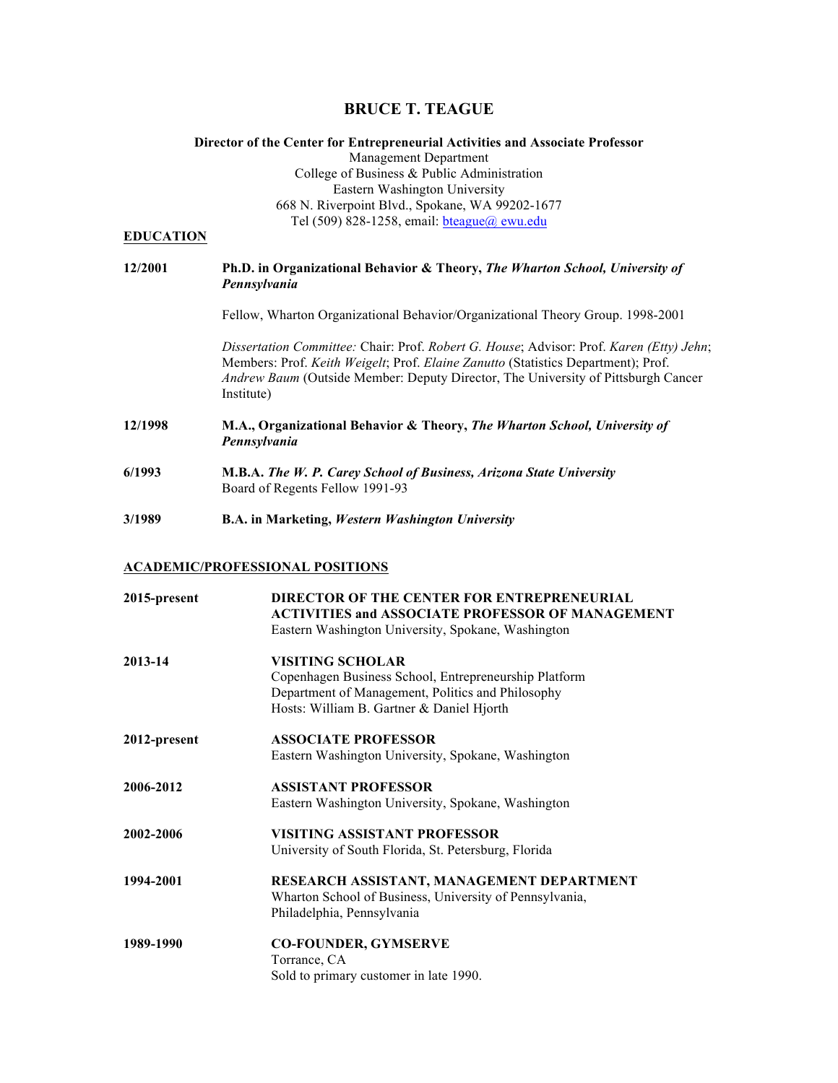# **BRUCE T. TEAGUE**

# **Director of the Center for Entrepreneurial Activities and Associate Professor**

Management Department College of Business & Public Administration Eastern Washington University 668 N. Riverpoint Blvd., Spokane, WA 99202-1677 Tel (509) 828-1258, email: bteague@ ewu.edu

# **EDUCATION**

# **12/2001 Ph.D. in Organizational Behavior & Theory,** *The Wharton School, University of Pennsylvania*

Fellow, Wharton Organizational Behavior/Organizational Theory Group. 1998-2001

*Dissertation Committee:* Chair: Prof. *Robert G. House*; Advisor: Prof. *Karen (Etty) Jehn*; Members: Prof. *Keith Weigelt*; Prof. *Elaine Zanutto* (Statistics Department); Prof. *Andrew Baum* (Outside Member: Deputy Director, The University of Pittsburgh Cancer Institute)

**12/1998 M.A., Organizational Behavior & Theory,** *The Wharton School, University of Pennsylvania* 

- **6/1993 M.B.A.** *The W. P. Carey School of Business, Arizona State University*  Board of Regents Fellow 1991-93
- **3/1989 B.A. in Marketing,** *Western Washington University*

#### **ACADEMIC/PROFESSIONAL POSITIONS**

| 2015-present | <b>DIRECTOR OF THE CENTER FOR ENTREPRENEURIAL</b><br><b>ACTIVITIES and ASSOCIATE PROFESSOR OF MANAGEMENT</b><br>Eastern Washington University, Spokane, Washington |
|--------------|--------------------------------------------------------------------------------------------------------------------------------------------------------------------|
| 2013-14      | <b>VISITING SCHOLAR</b><br>Copenhagen Business School, Entrepreneurship Platform<br>Department of Management, Politics and Philosophy                              |
|              | Hosts: William B. Gartner & Daniel Hjorth                                                                                                                          |
| 2012-present | <b>ASSOCIATE PROFESSOR</b>                                                                                                                                         |
|              | Eastern Washington University, Spokane, Washington                                                                                                                 |
| 2006-2012    | <b>ASSISTANT PROFESSOR</b>                                                                                                                                         |
|              | Eastern Washington University, Spokane, Washington                                                                                                                 |
| 2002-2006    | VISITING ASSISTANT PROFESSOR                                                                                                                                       |
|              | University of South Florida, St. Petersburg, Florida                                                                                                               |
| 1994-2001    | RESEARCH ASSISTANT, MANAGEMENT DEPARTMENT                                                                                                                          |
|              | Wharton School of Business, University of Pennsylvania,                                                                                                            |
|              | Philadelphia, Pennsylvania                                                                                                                                         |
| 1989-1990    | <b>CO-FOUNDER, GYMSERVE</b>                                                                                                                                        |
|              | Torrance, CA                                                                                                                                                       |
|              | Sold to primary customer in late 1990.                                                                                                                             |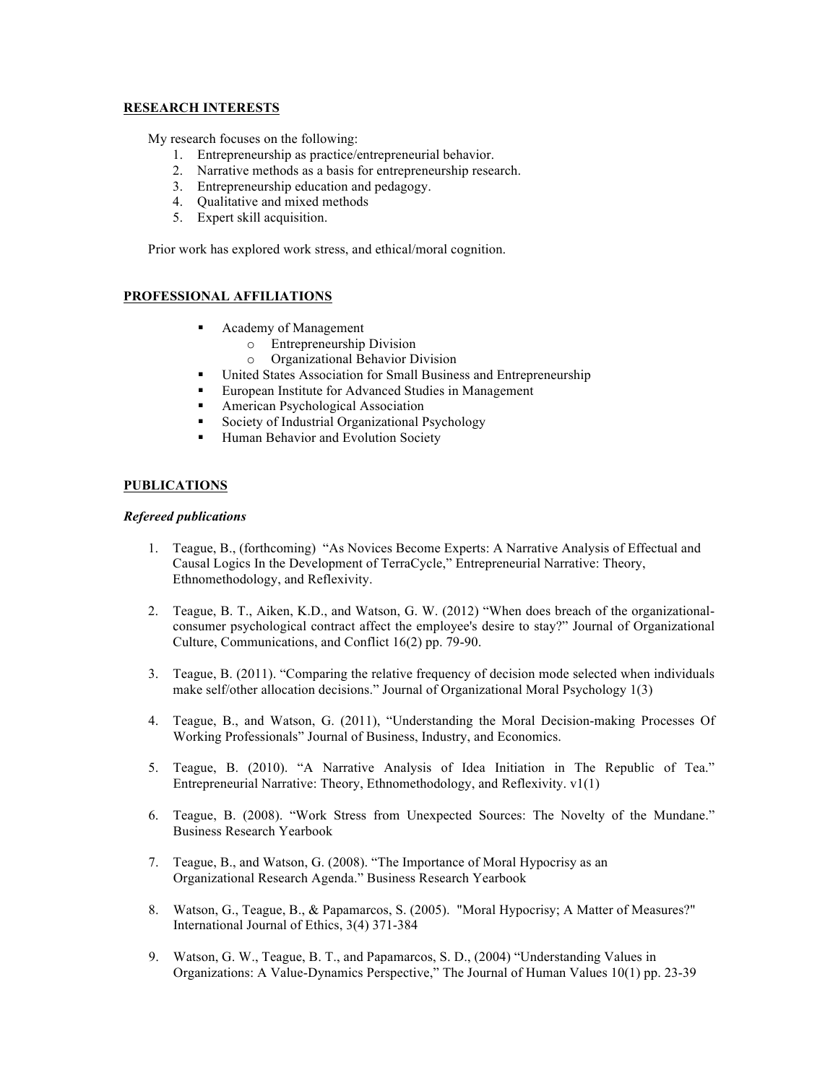# **RESEARCH INTERESTS**

My research focuses on the following:

- 1. Entrepreneurship as practice/entrepreneurial behavior.
- 2. Narrative methods as a basis for entrepreneurship research.
- 3. Entrepreneurship education and pedagogy.
- 4. Qualitative and mixed methods
- 5. Expert skill acquisition.

Prior work has explored work stress, and ethical/moral cognition.

# **PROFESSIONAL AFFILIATIONS**

- Academy of Management
	- o Entrepreneurship Division
	- o Organizational Behavior Division
- United States Association for Small Business and Entrepreneurship
- European Institute for Advanced Studies in Management
- American Psychological Association
- Society of Industrial Organizational Psychology
- Human Behavior and Evolution Society

# **PUBLICATIONS**

#### *Refereed publications*

- 1. Teague, B., (forthcoming) "As Novices Become Experts: A Narrative Analysis of Effectual and Causal Logics In the Development of TerraCycle," Entrepreneurial Narrative: Theory, Ethnomethodology, and Reflexivity.
- 2. Teague, B. T., Aiken, K.D., and Watson, G. W. (2012) "When does breach of the organizationalconsumer psychological contract affect the employee's desire to stay?" Journal of Organizational Culture, Communications, and Conflict 16(2) pp. 79-90.
- 3. Teague, B. (2011). "Comparing the relative frequency of decision mode selected when individuals make self/other allocation decisions." Journal of Organizational Moral Psychology 1(3)
- 4. Teague, B., and Watson, G. (2011), "Understanding the Moral Decision-making Processes Of Working Professionals" Journal of Business, Industry, and Economics.
- 5. Teague, B. (2010). "A Narrative Analysis of Idea Initiation in The Republic of Tea." Entrepreneurial Narrative: Theory, Ethnomethodology, and Reflexivity. v1(1)
- 6. Teague, B. (2008). "Work Stress from Unexpected Sources: The Novelty of the Mundane." Business Research Yearbook
- 7. Teague, B., and Watson, G. (2008). "The Importance of Moral Hypocrisy as an Organizational Research Agenda." Business Research Yearbook
- 8. Watson, G., Teague, B., & Papamarcos, S. (2005). "Moral Hypocrisy; A Matter of Measures?" International Journal of Ethics, 3(4) 371-384
- 9. Watson, G. W., Teague, B. T., and Papamarcos, S. D., (2004) "Understanding Values in Organizations: A Value-Dynamics Perspective," The Journal of Human Values 10(1) pp. 23-39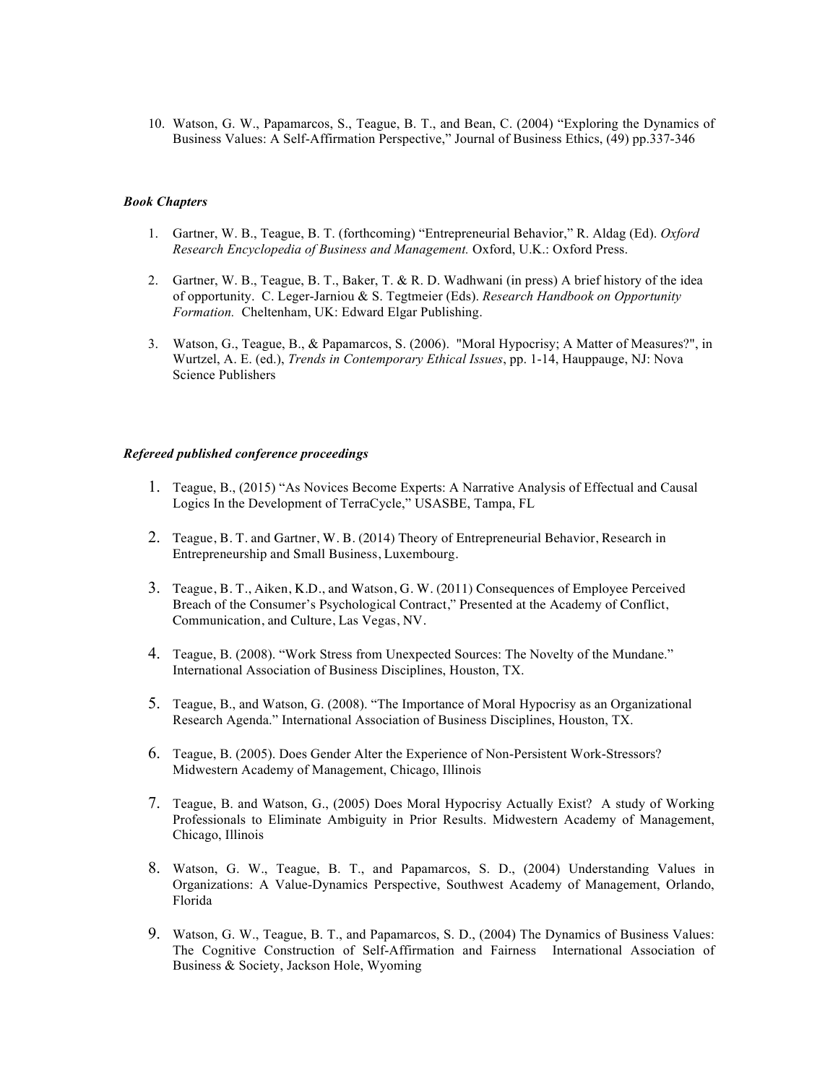10. Watson, G. W., Papamarcos, S., Teague, B. T., and Bean, C. (2004) "Exploring the Dynamics of Business Values: A Self-Affirmation Perspective," Journal of Business Ethics, (49) pp.337-346

#### *Book Chapters*

- 1. Gartner, W. B., Teague, B. T. (forthcoming) "Entrepreneurial Behavior," R. Aldag (Ed). *Oxford Research Encyclopedia of Business and Management.* Oxford, U.K.: Oxford Press.
- 2. Gartner, W. B., Teague, B. T., Baker, T. & R. D. Wadhwani (in press) A brief history of the idea of opportunity. C. Leger-Jarniou & S. Tegtmeier (Eds). *Research Handbook on Opportunity Formation.* Cheltenham, UK: Edward Elgar Publishing.
- 3. Watson, G., Teague, B., & Papamarcos, S. (2006). "Moral Hypocrisy; A Matter of Measures?", in Wurtzel, A. E. (ed.), *Trends in Contemporary Ethical Issues*, pp. 1-14, Hauppauge, NJ: Nova Science Publishers

#### *Refereed published conference proceedings*

- 1. Teague, B., (2015) "As Novices Become Experts: A Narrative Analysis of Effectual and Causal Logics In the Development of TerraCycle," USASBE, Tampa, FL
- 2. Teague, B. T. and Gartner, W. B. (2014) Theory of Entrepreneurial Behavior, Research in Entrepreneurship and Small Business, Luxembourg.
- 3. Teague, B. T., Aiken, K.D., and Watson, G. W. (2011) Consequences of Employee Perceived Breach of the Consumer's Psychological Contract," Presented at the Academy of Conflict, Communication, and Culture, Las Vegas, NV.
- 4. Teague, B. (2008). "Work Stress from Unexpected Sources: The Novelty of the Mundane." International Association of Business Disciplines, Houston, TX.
- 5. Teague, B., and Watson, G. (2008). "The Importance of Moral Hypocrisy as an Organizational Research Agenda." International Association of Business Disciplines, Houston, TX.
- 6. Teague, B. (2005). Does Gender Alter the Experience of Non-Persistent Work-Stressors? Midwestern Academy of Management, Chicago, Illinois
- 7. Teague, B. and Watson, G., (2005) Does Moral Hypocrisy Actually Exist? A study of Working Professionals to Eliminate Ambiguity in Prior Results. Midwestern Academy of Management, Chicago, Illinois
- 8. Watson, G. W., Teague, B. T., and Papamarcos, S. D., (2004) Understanding Values in Organizations: A Value-Dynamics Perspective, Southwest Academy of Management, Orlando, Florida
- 9. Watson, G. W., Teague, B. T., and Papamarcos, S. D., (2004) The Dynamics of Business Values: The Cognitive Construction of Self-Affirmation and Fairness International Association of Business & Society, Jackson Hole, Wyoming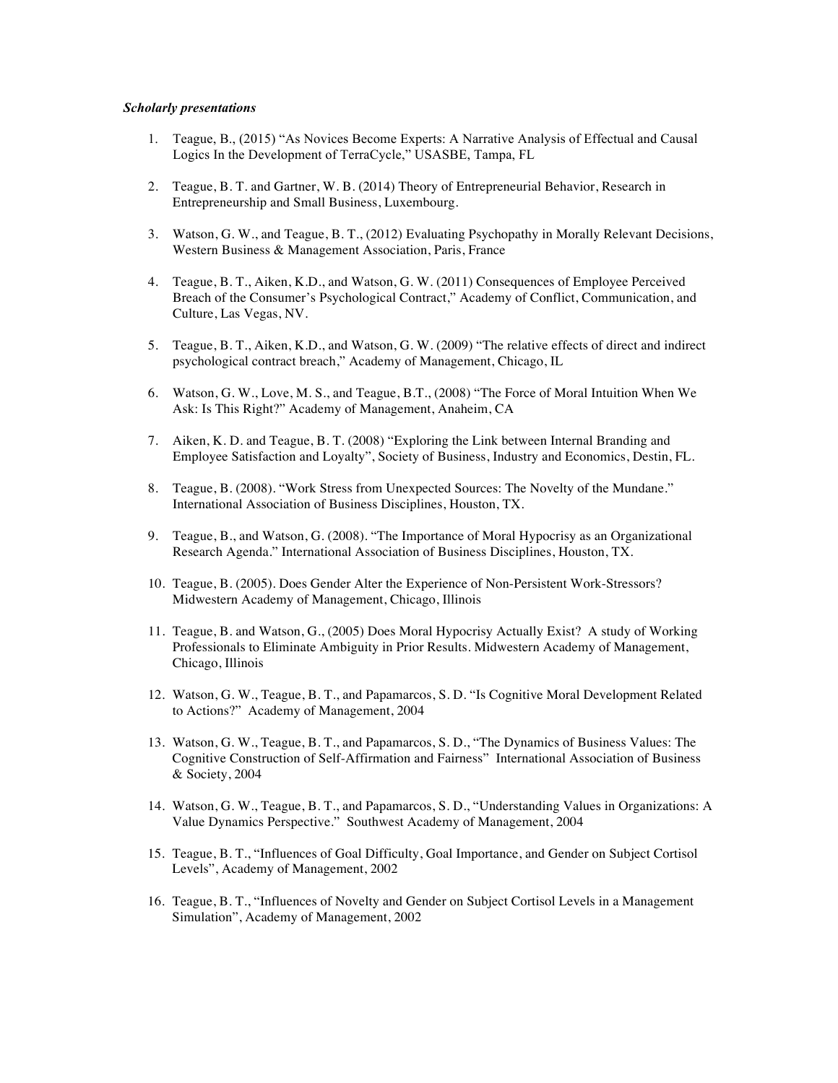#### *Scholarly presentations*

- 1. Teague, B., (2015) "As Novices Become Experts: A Narrative Analysis of Effectual and Causal Logics In the Development of TerraCycle," USASBE, Tampa, FL
- 2. Teague, B. T. and Gartner, W. B. (2014) Theory of Entrepreneurial Behavior, Research in Entrepreneurship and Small Business, Luxembourg.
- 3. Watson, G. W., and Teague, B. T., (2012) Evaluating Psychopathy in Morally Relevant Decisions, Western Business & Management Association, Paris, France
- 4. Teague, B. T., Aiken, K.D., and Watson, G. W. (2011) Consequences of Employee Perceived Breach of the Consumer's Psychological Contract," Academy of Conflict, Communication, and Culture, Las Vegas, NV.
- 5. Teague, B. T., Aiken, K.D., and Watson, G. W. (2009) "The relative effects of direct and indirect psychological contract breach," Academy of Management, Chicago, IL
- 6. Watson, G. W., Love, M. S., and Teague, B.T., (2008) "The Force of Moral Intuition When We Ask: Is This Right?" Academy of Management, Anaheim, CA
- 7. Aiken, K. D. and Teague, B. T. (2008) "Exploring the Link between Internal Branding and Employee Satisfaction and Loyalty", Society of Business, Industry and Economics, Destin, FL.
- 8. Teague, B. (2008). "Work Stress from Unexpected Sources: The Novelty of the Mundane." International Association of Business Disciplines, Houston, TX.
- 9. Teague, B., and Watson, G. (2008). "The Importance of Moral Hypocrisy as an Organizational Research Agenda." International Association of Business Disciplines, Houston, TX.
- 10. Teague, B. (2005). Does Gender Alter the Experience of Non-Persistent Work-Stressors? Midwestern Academy of Management, Chicago, Illinois
- 11. Teague, B. and Watson, G., (2005) Does Moral Hypocrisy Actually Exist? A study of Working Professionals to Eliminate Ambiguity in Prior Results. Midwestern Academy of Management, Chicago, Illinois
- 12. Watson, G. W., Teague, B. T., and Papamarcos, S. D. "Is Cognitive Moral Development Related to Actions?" Academy of Management, 2004
- 13. Watson, G. W., Teague, B. T., and Papamarcos, S. D., "The Dynamics of Business Values: The Cognitive Construction of Self-Affirmation and Fairness" International Association of Business & Society, 2004
- 14. Watson, G. W., Teague, B. T., and Papamarcos, S. D., "Understanding Values in Organizations: A Value Dynamics Perspective." Southwest Academy of Management, 2004
- 15. Teague, B. T., "Influences of Goal Difficulty, Goal Importance, and Gender on Subject Cortisol Levels", Academy of Management, 2002
- 16. Teague, B. T., "Influences of Novelty and Gender on Subject Cortisol Levels in a Management Simulation", Academy of Management, 2002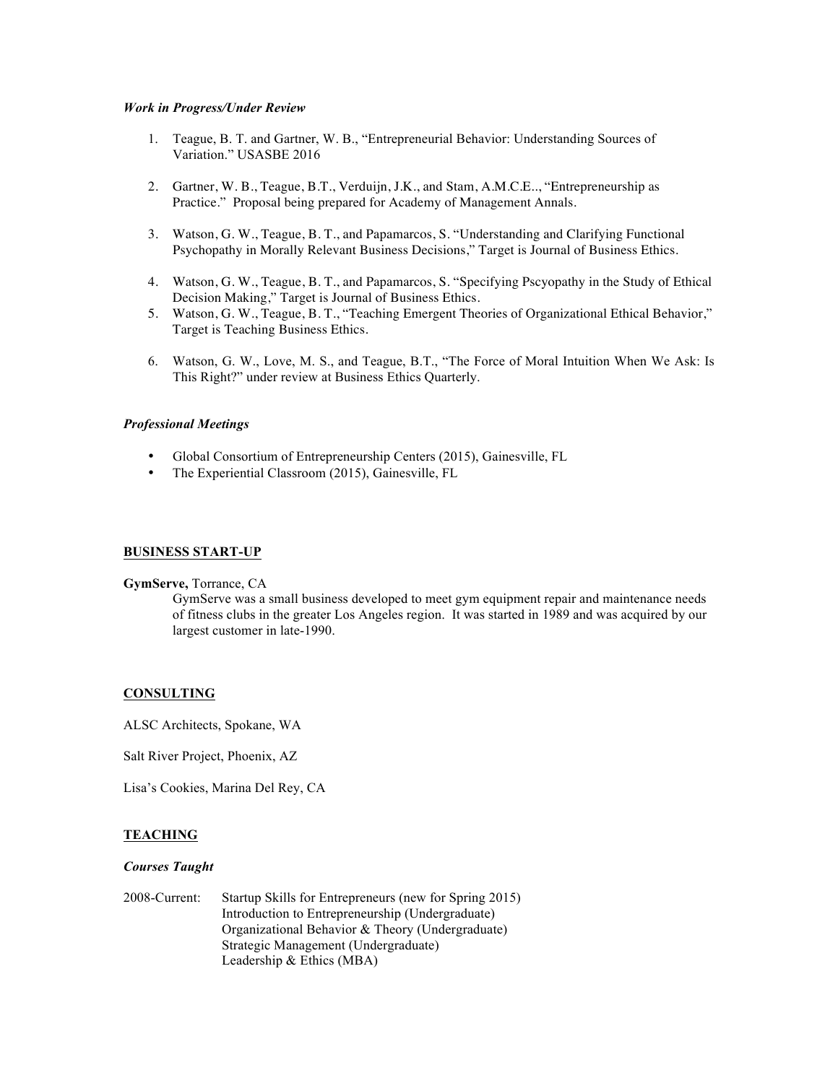#### *Work in Progress/Under Review*

- 1. Teague, B. T. and Gartner, W. B., "Entrepreneurial Behavior: Understanding Sources of Variation." USASBE 2016
- 2. Gartner, W. B., Teague, B.T., Verduijn, J.K., and Stam, A.M.C.E.., "Entrepreneurship as Practice." Proposal being prepared for Academy of Management Annals.
- 3. Watson, G. W., Teague, B. T., and Papamarcos, S. "Understanding and Clarifying Functional Psychopathy in Morally Relevant Business Decisions," Target is Journal of Business Ethics.
- 4. Watson, G. W., Teague, B. T., and Papamarcos, S. "Specifying Pscyopathy in the Study of Ethical Decision Making," Target is Journal of Business Ethics.
- 5. Watson, G. W., Teague, B. T., "Teaching Emergent Theories of Organizational Ethical Behavior," Target is Teaching Business Ethics.
- 6. Watson, G. W., Love, M. S., and Teague, B.T., "The Force of Moral Intuition When We Ask: Is This Right?" under review at Business Ethics Quarterly.

# *Professional Meetings*

- Global Consortium of Entrepreneurship Centers (2015), Gainesville, FL
- The Experiential Classroom (2015), Gainesville, FL

#### **BUSINESS START-UP**

#### **GymServe,** Torrance, CA

GymServe was a small business developed to meet gym equipment repair and maintenance needs of fitness clubs in the greater Los Angeles region. It was started in 1989 and was acquired by our largest customer in late-1990.

#### **CONSULTING**

ALSC Architects, Spokane, WA

Salt River Project, Phoenix, AZ

Lisa's Cookies, Marina Del Rey, CA

#### **TEACHING**

#### *Courses Taught*

2008-Current: Startup Skills for Entrepreneurs (new for Spring 2015) Introduction to Entrepreneurship (Undergraduate) Organizational Behavior & Theory (Undergraduate) Strategic Management (Undergraduate) Leadership & Ethics (MBA)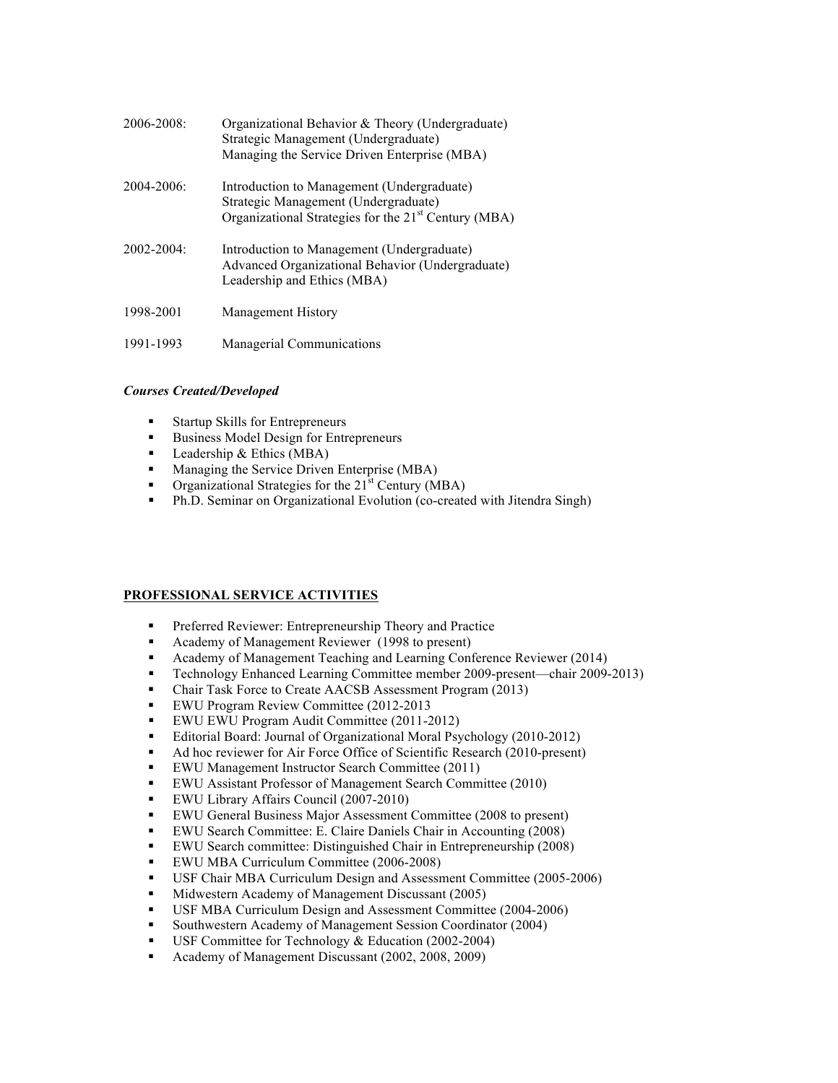| $2006 - 2008$ | Organizational Behavior & Theory (Undergraduate)<br>Strategic Management (Undergraduate)<br>Managing the Service Driven Enterprise (MBA)               |
|---------------|--------------------------------------------------------------------------------------------------------------------------------------------------------|
| $2004 - 2006$ | Introduction to Management (Undergraduate)<br>Strategic Management (Undergraduate)<br>Organizational Strategies for the 21 <sup>st</sup> Century (MBA) |
| $2002 - 2004$ | Introduction to Management (Undergraduate)<br>Advanced Organizational Behavior (Undergraduate)<br>Leadership and Ethics (MBA)                          |
| 1998-2001     | <b>Management History</b>                                                                                                                              |
| 1991-1993     | Managerial Communications                                                                                                                              |

# *Courses Created/Developed*

- Startup Skills for Entrepreneurs
- Business Model Design for Entrepreneurs
- Leadership & Ethics (MBA)<br>• Managing the Service Driven
- Managing the Service Driven Enterprise (MBA)
- Organizational Strategies for the 21<sup>st</sup> Century (MBA)
- Ph.D. Seminar on Organizational Evolution (co-created with Jitendra Singh)

# **PROFESSIONAL SERVICE ACTIVITIES**

- Preferred Reviewer: Entrepreneurship Theory and Practice
- Academy of Management Reviewer (1998 to present)
- Academy of Management Teaching and Learning Conference Reviewer (2014)
- Technology Enhanced Learning Committee member 2009-present—chair 2009-2013)
- Chair Task Force to Create AACSB Assessment Program (2013)
- EWU Program Review Committee (2012-2013
- EWU EWU Program Audit Committee (2011-2012)
- Editorial Board: Journal of Organizational Moral Psychology (2010-2012)
- Ad hoc reviewer for Air Force Office of Scientific Research (2010-present)
- EWU Management Instructor Search Committee (2011)
- EWU Assistant Professor of Management Search Committee (2010)
- EWU Library Affairs Council (2007-2010)
- EWU General Business Major Assessment Committee (2008 to present)
- EWU Search Committee: E. Claire Daniels Chair in Accounting (2008)
- EWU Search committee: Distinguished Chair in Entrepreneurship (2008)
- EWU MBA Curriculum Committee (2006-2008)
- USF Chair MBA Curriculum Design and Assessment Committee (2005-2006)
- Midwestern Academy of Management Discussant (2005)
- USF MBA Curriculum Design and Assessment Committee (2004-2006)<br>• Southwestern Academy of Management Session Coordinator (2004)
- Southwestern Academy of Management Session Coordinator (2004)
- USF Committee for Technology & Education (2002-2004)
- Academy of Management Discussant (2002, 2008, 2009)